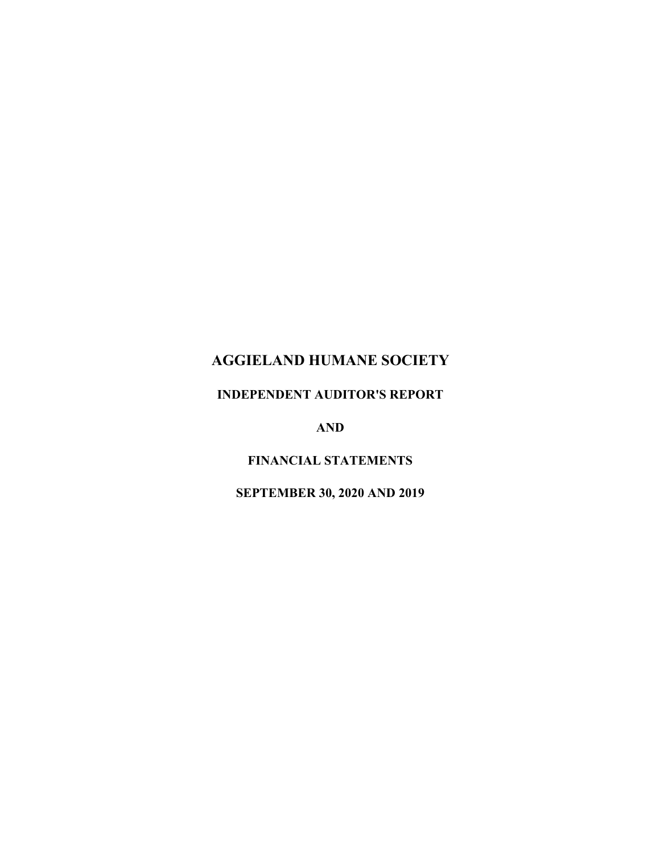# **AGGIELAND HUMANE SOCIETY**

## **INDEPENDENT AUDITOR'S REPORT**

**AND**

**FINANCIAL STATEMENTS**

**SEPTEMBER 30, 2020 AND 2019**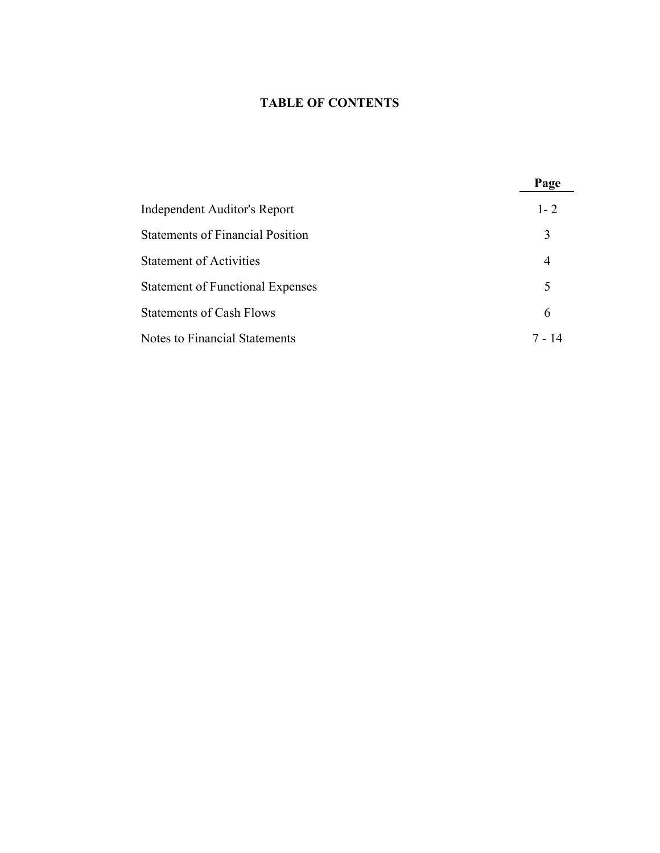# **TABLE OF CONTENTS**

|                                         | Page    |
|-----------------------------------------|---------|
| Independent Auditor's Report            | $1 - 2$ |
| <b>Statements of Financial Position</b> | 3       |
| <b>Statement of Activities</b>          | 4       |
| <b>Statement of Functional Expenses</b> | 5       |
| <b>Statements of Cash Flows</b>         | 6       |
| Notes to Financial Statements           | 7 - 14  |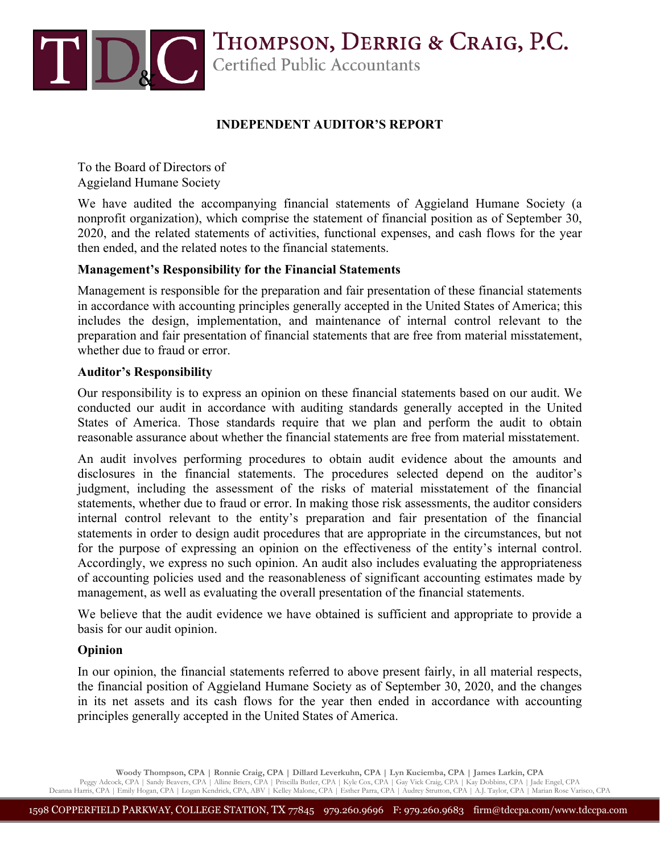

## **INDEPENDENT AUDITOR'S REPORT**

To the Board of Directors of Aggieland Humane Society

We have audited the accompanying financial statements of Aggieland Humane Society (a nonprofit organization), which comprise the statement of financial position as of September 30, 2020, and the related statements of activities, functional expenses, and cash flows for the year then ended, and the related notes to the financial statements.

## **Management's Responsibility for the Financial Statements**

Management is responsible for the preparation and fair presentation of these financial statements in accordance with accounting principles generally accepted in the United States of America; this includes the design, implementation, and maintenance of internal control relevant to the preparation and fair presentation of financial statements that are free from material misstatement, whether due to fraud or error.

#### **Auditor's Responsibility**

Our responsibility is to express an opinion on these financial statements based on our audit. We conducted our audit in accordance with auditing standards generally accepted in the United States of America. Those standards require that we plan and perform the audit to obtain reasonable assurance about whether the financial statements are free from material misstatement.

An audit involves performing procedures to obtain audit evidence about the amounts and disclosures in the financial statements. The procedures selected depend on the auditor's judgment, including the assessment of the risks of material misstatement of the financial statements, whether due to fraud or error. In making those risk assessments, the auditor considers internal control relevant to the entity's preparation and fair presentation of the financial statements in order to design audit procedures that are appropriate in the circumstances, but not for the purpose of expressing an opinion on the effectiveness of the entity's internal control. Accordingly, we express no such opinion. An audit also includes evaluating the appropriateness of accounting policies used and the reasonableness of significant accounting estimates made by management, as well as evaluating the overall presentation of the financial statements.

We believe that the audit evidence we have obtained is sufficient and appropriate to provide a basis for our audit opinion.

### **Opinion**

In our opinion, the financial statements referred to above present fairly, in all material respects, the financial position of Aggieland Humane Society as of September 30, 2020, and the changes in its net assets and its cash flows for the year then ended in accordance with accounting principles generally accepted in the United States of America.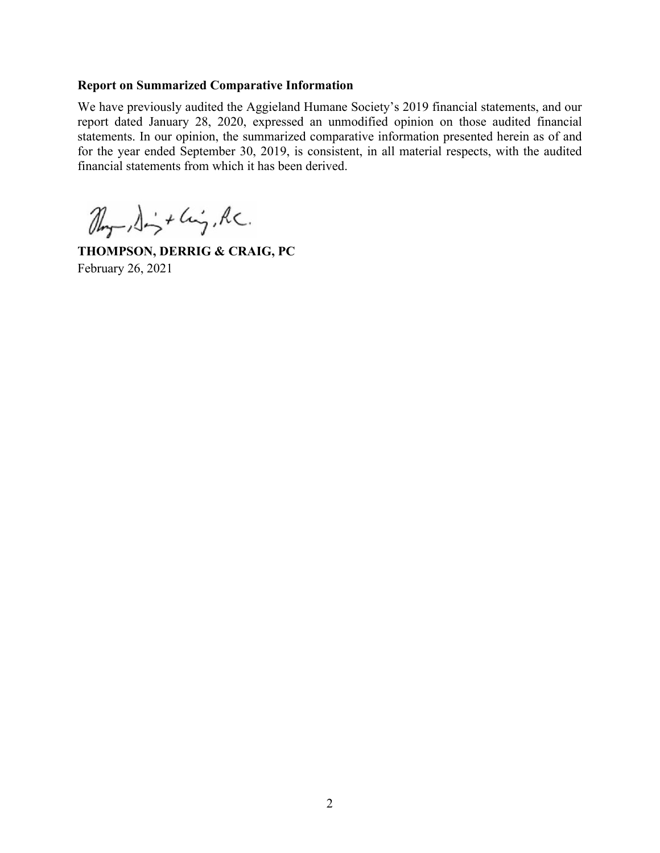#### **Report on Summarized Comparative Information**

We have previously audited the Aggieland Humane Society's 2019 financial statements, and our report dated January 28, 2020, expressed an unmodified opinion on those audited financial statements. In our opinion, the summarized comparative information presented herein as of and for the year ended September 30, 2019, is consistent, in all material respects, with the audited financial statements from which it has been derived.

They Ding + Cing, RC.

**THOMPSON, DERRIG & CRAIG, PC**  February 26, 2021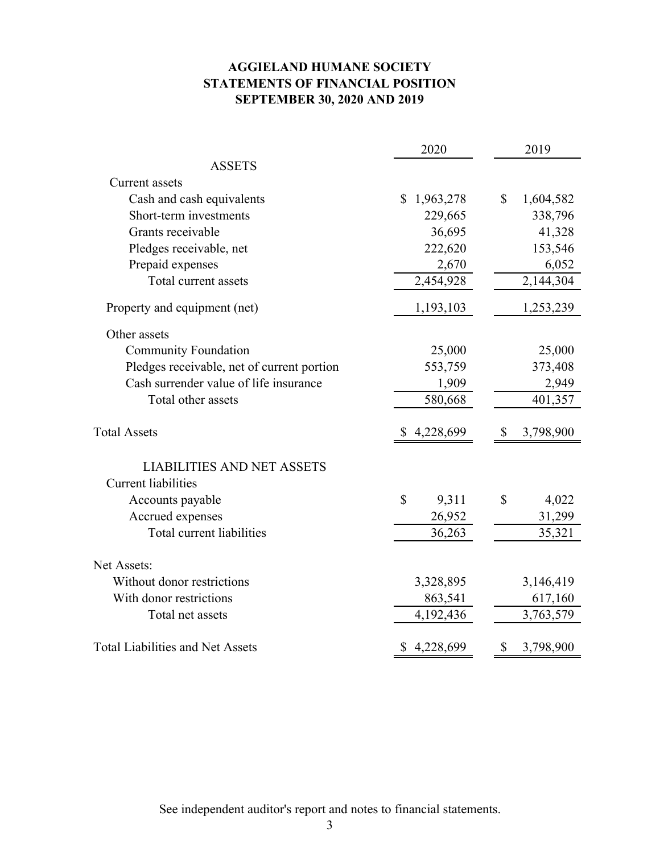## **AGGIELAND HUMANE SOCIETY SEPTEMBER 30, 2020 AND 2019 STATEMENTS OF FINANCIAL POSITION**

|                                            | 2020        |              | 2019      |  |
|--------------------------------------------|-------------|--------------|-----------|--|
| <b>ASSETS</b>                              |             |              |           |  |
| <b>Current</b> assets                      |             |              |           |  |
| Cash and cash equivalents                  | \$1,963,278 | \$           | 1,604,582 |  |
| Short-term investments                     | 229,665     |              | 338,796   |  |
| Grants receivable                          | 36,695      |              | 41,328    |  |
| Pledges receivable, net                    | 222,620     |              | 153,546   |  |
| Prepaid expenses                           | 2,670       |              | 6,052     |  |
| Total current assets                       | 2,454,928   |              | 2,144,304 |  |
| Property and equipment (net)               | 1,193,103   |              | 1,253,239 |  |
| Other assets                               |             |              |           |  |
| <b>Community Foundation</b>                | 25,000      |              | 25,000    |  |
| Pledges receivable, net of current portion | 553,759     |              | 373,408   |  |
| Cash surrender value of life insurance     | 1,909       |              | 2,949     |  |
| Total other assets                         | 580,668     |              | 401,357   |  |
| <b>Total Assets</b>                        | 4,228,699   | Ж            | 3,798,900 |  |
| <b>LIABILITIES AND NET ASSETS</b>          |             |              |           |  |
| <b>Current liabilities</b>                 |             |              |           |  |
| Accounts payable                           | \$<br>9,311 | $\mathbb{S}$ | 4,022     |  |
| Accrued expenses                           | 26,952      |              | 31,299    |  |
| Total current liabilities                  | 36,263      |              | 35,321    |  |
|                                            |             |              |           |  |
| Net Assets:<br>Without donor restrictions  |             |              |           |  |
|                                            | 3,328,895   |              | 3,146,419 |  |
| With donor restrictions                    | 863,541     |              | 617,160   |  |
| Total net assets                           | 4,192,436   |              | 3,763,579 |  |
| <b>Total Liabilities and Net Assets</b>    | \$4,228,699 | \$           | 3,798,900 |  |

See independent auditor's report and notes to financial statements.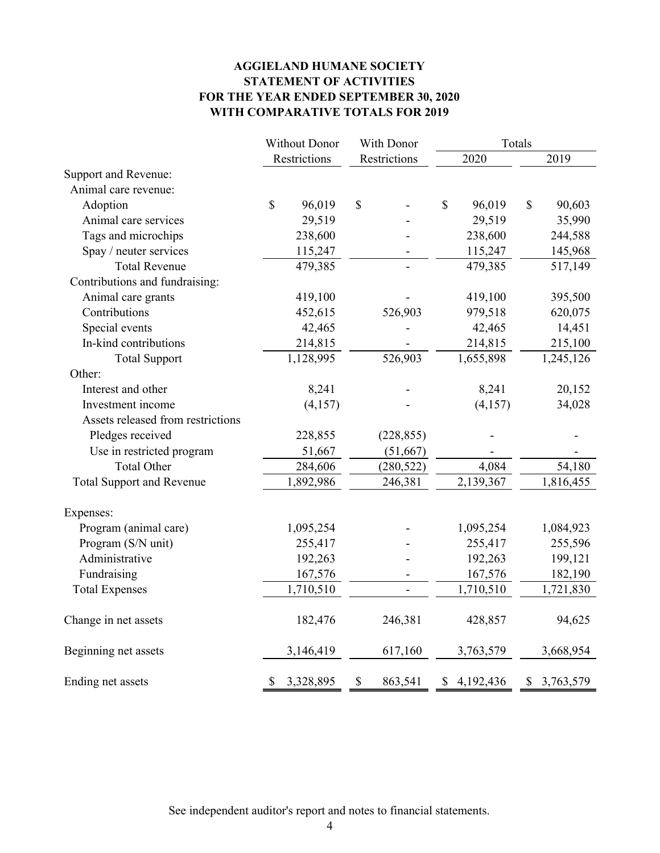## **AGGIELAND HUMANE SOCIETY STATEMENT OF ACTIVITIES FOR THE YEAR ENDED SEPTEMBER 30, 2020 WITH COMPARATIVE TOTALS FOR 2019**

|                                   | Without Donor   | With Donor     | Totals          |                        |  |
|-----------------------------------|-----------------|----------------|-----------------|------------------------|--|
|                                   | Restrictions    | Restrictions   | 2020            | 2019                   |  |
| Support and Revenue:              |                 |                |                 |                        |  |
| Animal care revenue:              |                 |                |                 |                        |  |
| Adoption                          | \$<br>96,019    | \$             | \$<br>96,019    | $\mathbb{S}$<br>90,603 |  |
| Animal care services              | 29,519          |                | 29,519          | 35,990                 |  |
| Tags and microchips               | 238,600         |                | 238,600         | 244,588                |  |
| Spay / neuter services            | 115,247         |                | 115,247         | 145,968                |  |
| <b>Total Revenue</b>              | 479,385         |                | 479,385         | 517,149                |  |
| Contributions and fundraising:    |                 |                |                 |                        |  |
| Animal care grants                | 419,100         |                | 419,100         | 395,500                |  |
| Contributions                     | 452,615         | 526,903        | 979,518         | 620,075                |  |
| Special events                    | 42,465          |                | 42,465          | 14,451                 |  |
| In-kind contributions             | 214,815         |                | 214,815         | 215,100                |  |
| <b>Total Support</b>              | 1,128,995       | 526,903        | 1,655,898       | 1,245,126              |  |
| Other:                            |                 |                |                 |                        |  |
| Interest and other                | 8,241           |                | 8,241           | 20,152                 |  |
| Investment income                 | (4,157)         |                | (4,157)         | 34,028                 |  |
| Assets released from restrictions |                 |                |                 |                        |  |
| Pledges received                  | 228,855         | (228, 855)     |                 |                        |  |
| Use in restricted program         | 51,667          | (51,667)       |                 |                        |  |
| <b>Total Other</b>                | 284,606         | (280, 522)     | 4,084           | 54,180                 |  |
| <b>Total Support and Revenue</b>  | 1,892,986       | 246,381        | 2,139,367       | 1,816,455              |  |
| Expenses:                         |                 |                |                 |                        |  |
| Program (animal care)             | 1,095,254       |                | 1,095,254       | 1,084,923              |  |
| Program (S/N unit)                | 255,417         |                | 255,417         | 255,596                |  |
| Administrative                    | 192,263         |                | 192,263         | 199,121                |  |
| Fundraising                       | 167,576         |                | 167,576         | 182,190                |  |
| <b>Total Expenses</b>             | 1,710,510       | $\blacksquare$ | 1,710,510       | 1,721,830              |  |
| Change in net assets              | 182,476         | 246,381        | 428,857         | 94,625                 |  |
| Beginning net assets              | 3,146,419       | 617,160        | 3,763,579       | 3,668,954              |  |
| Ending net assets                 | \$<br>3,328,895 | \$<br>863,541  | \$<br>4,192,436 | 3,763,579<br>\$        |  |

See independent auditor's report and notes to financial statements.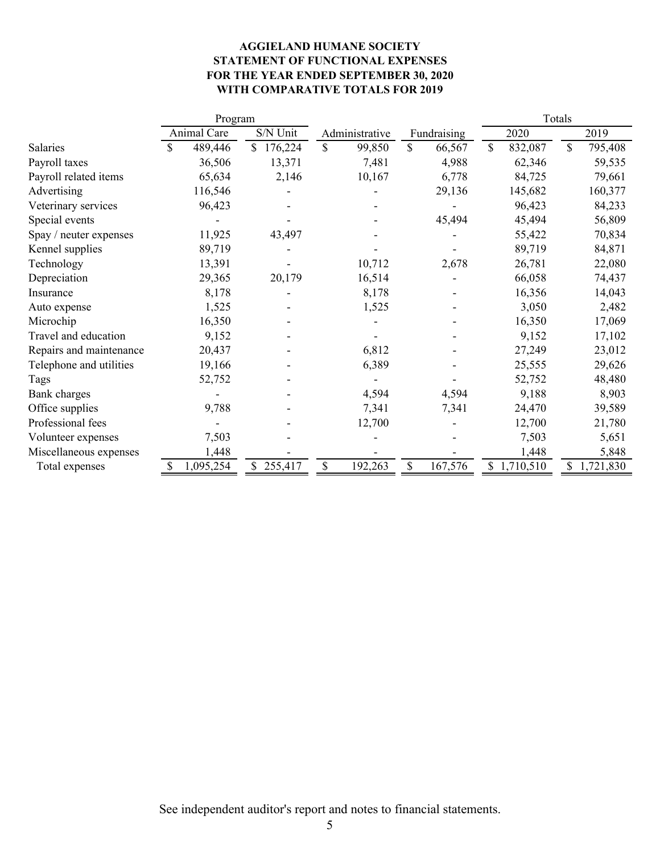## **AGGIELAND HUMANE SOCIETY STATEMENT OF FUNCTIONAL EXPENSES FOR THE YEAR ENDED SEPTEMBER 30, 2020 WITH COMPARATIVE TOTALS FOR 2019**

|                         | Program  |             |           | Totals       |                |               |                 |    |           |
|-------------------------|----------|-------------|-----------|--------------|----------------|---------------|-----------------|----|-----------|
|                         |          | Animal Care | S/N Unit  |              | Administrative | Fundraising   | 2020            |    | 2019      |
| Salaries                | \$       | 489,446     | \$176,224 | $\mathbb{S}$ | 99,850         | \$<br>66,567  | \$<br>832,087   | \$ | 795,408   |
| Payroll taxes           |          | 36,506      | 13,371    |              | 7,481          | 4,988         | 62,346          |    | 59,535    |
| Payroll related items   |          | 65,634      | 2,146     |              | 10,167         | 6,778         | 84,725          |    | 79,661    |
| Advertising             |          | 116,546     |           |              |                | 29,136        | 145,682         |    | 160,377   |
| Veterinary services     |          | 96,423      |           |              |                |               | 96,423          |    | 84,233    |
| Special events          |          |             |           |              |                | 45,494        | 45,494          |    | 56,809    |
| Spay / neuter expenses  |          | 11,925      | 43,497    |              |                |               | 55,422          |    | 70,834    |
| Kennel supplies         |          | 89,719      |           |              |                |               | 89,719          |    | 84,871    |
| Technology              |          | 13,391      |           |              | 10,712         | 2,678         | 26,781          |    | 22,080    |
| Depreciation            |          | 29,365      | 20,179    |              | 16,514         |               | 66,058          |    | 74,437    |
| Insurance               |          | 8,178       |           |              | 8,178          |               | 16,356          |    | 14,043    |
| Auto expense            |          | 1,525       |           |              | 1,525          |               | 3,050           |    | 2,482     |
| Microchip               |          | 16,350      |           |              |                |               | 16,350          |    | 17,069    |
| Travel and education    |          | 9,152       |           |              |                |               | 9,152           |    | 17,102    |
| Repairs and maintenance |          | 20,437      |           |              | 6,812          |               | 27,249          |    | 23,012    |
| Telephone and utilities |          | 19,166      |           |              | 6,389          |               | 25,555          |    | 29,626    |
| Tags                    |          | 52,752      |           |              |                |               | 52,752          |    | 48,480    |
| Bank charges            |          |             |           |              | 4,594          | 4,594         | 9,188           |    | 8,903     |
| Office supplies         |          | 9,788       |           |              | 7,341          | 7,341         | 24,470          |    | 39,589    |
| Professional fees       |          |             |           |              | 12,700         |               | 12,700          |    | 21,780    |
| Volunteer expenses      |          | 7,503       |           |              |                |               | 7,503           |    | 5,651     |
| Miscellaneous expenses  |          | 1,448       |           |              |                |               | 1,448           |    | 5,848     |
| Total expenses          | <b>S</b> | 1,095,254   | \$255,417 | \$           | 192,263        | \$<br>167,576 | \$<br>1,710,510 | \$ | 1,721,830 |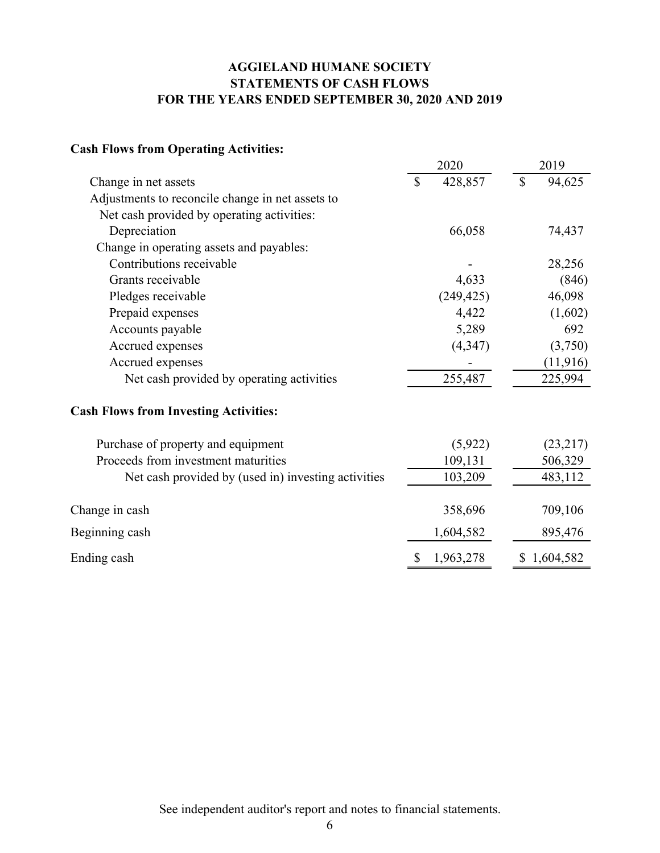## **AGGIELAND HUMANE SOCIETY STATEMENTS OF CASH FLOWS FOR THE YEARS ENDED SEPTEMBER 30, 2020 AND 2019**

## **Cash Flows from Operating Activities:**

|                                                     | 2020            |              | 2019        |  |  |
|-----------------------------------------------------|-----------------|--------------|-------------|--|--|
| Change in net assets                                | \$<br>428,857   | $\mathbb{S}$ | 94,625      |  |  |
| Adjustments to reconcile change in net assets to    |                 |              |             |  |  |
| Net cash provided by operating activities:          |                 |              |             |  |  |
| Depreciation                                        | 66,058          |              | 74,437      |  |  |
| Change in operating assets and payables:            |                 |              |             |  |  |
| Contributions receivable                            |                 |              | 28,256      |  |  |
| Grants receivable                                   | 4,633           |              | (846)       |  |  |
| Pledges receivable                                  | (249, 425)      |              | 46,098      |  |  |
| Prepaid expenses                                    | 4,422           |              | (1,602)     |  |  |
| Accounts payable                                    | 5,289           |              | 692         |  |  |
| Accrued expenses                                    | (4, 347)        |              | (3,750)     |  |  |
| Accrued expenses                                    |                 |              | (11, 916)   |  |  |
| Net cash provided by operating activities           | 255,487         |              | 225,994     |  |  |
| <b>Cash Flows from Investing Activities:</b>        |                 |              |             |  |  |
| Purchase of property and equipment                  | (5, 922)        |              | (23,217)    |  |  |
| Proceeds from investment maturities                 | 109,131         |              | 506,329     |  |  |
| Net cash provided by (used in) investing activities | 103,209         |              | 483,112     |  |  |
| Change in cash                                      | 358,696         |              | 709,106     |  |  |
| Beginning cash                                      | 1,604,582       |              | 895,476     |  |  |
| Ending cash                                         | \$<br>1,963,278 |              | \$1,604,582 |  |  |

See independent auditor's report and notes to financial statements.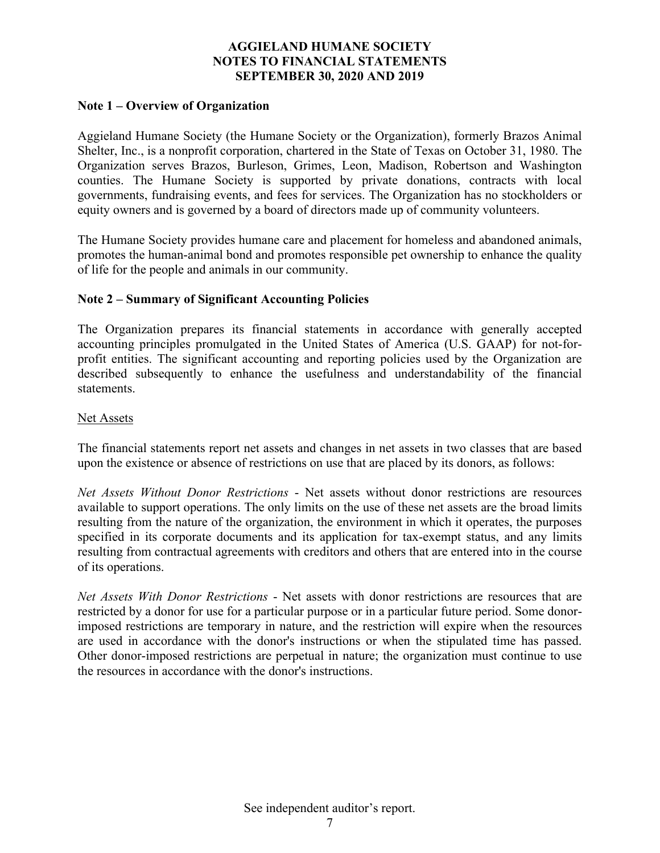## **Note 1 – Overview of Organization**

Aggieland Humane Society (the Humane Society or the Organization), formerly Brazos Animal Shelter, Inc., is a nonprofit corporation, chartered in the State of Texas on October 31, 1980. The Organization serves Brazos, Burleson, Grimes, Leon, Madison, Robertson and Washington counties. The Humane Society is supported by private donations, contracts with local governments, fundraising events, and fees for services. The Organization has no stockholders or equity owners and is governed by a board of directors made up of community volunteers.

The Humane Society provides humane care and placement for homeless and abandoned animals, promotes the human-animal bond and promotes responsible pet ownership to enhance the quality of life for the people and animals in our community.

### **Note 2 – Summary of Significant Accounting Policies**

The Organization prepares its financial statements in accordance with generally accepted accounting principles promulgated in the United States of America (U.S. GAAP) for not-forprofit entities. The significant accounting and reporting policies used by the Organization are described subsequently to enhance the usefulness and understandability of the financial statements.

### Net Assets

The financial statements report net assets and changes in net assets in two classes that are based upon the existence or absence of restrictions on use that are placed by its donors, as follows:

*Net Assets Without Donor Restrictions* - Net assets without donor restrictions are resources available to support operations. The only limits on the use of these net assets are the broad limits resulting from the nature of the organization, the environment in which it operates, the purposes specified in its corporate documents and its application for tax-exempt status, and any limits resulting from contractual agreements with creditors and others that are entered into in the course of its operations.

*Net Assets With Donor Restrictions* - Net assets with donor restrictions are resources that are restricted by a donor for use for a particular purpose or in a particular future period. Some donorimposed restrictions are temporary in nature, and the restriction will expire when the resources are used in accordance with the donor's instructions or when the stipulated time has passed. Other donor-imposed restrictions are perpetual in nature; the organization must continue to use the resources in accordance with the donor's instructions.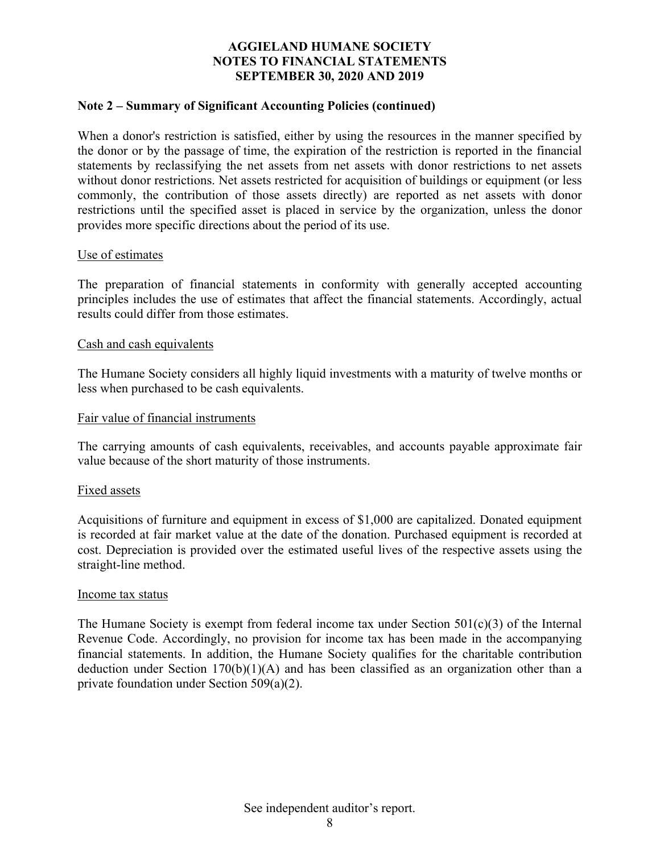#### **Note 2 – Summary of Significant Accounting Policies (continued)**

When a donor's restriction is satisfied, either by using the resources in the manner specified by the donor or by the passage of time, the expiration of the restriction is reported in the financial statements by reclassifying the net assets from net assets with donor restrictions to net assets without donor restrictions. Net assets restricted for acquisition of buildings or equipment (or less commonly, the contribution of those assets directly) are reported as net assets with donor restrictions until the specified asset is placed in service by the organization, unless the donor provides more specific directions about the period of its use.

#### Use of estimates

The preparation of financial statements in conformity with generally accepted accounting principles includes the use of estimates that affect the financial statements. Accordingly, actual results could differ from those estimates.

#### Cash and cash equivalents

The Humane Society considers all highly liquid investments with a maturity of twelve months or less when purchased to be cash equivalents.

#### Fair value of financial instruments

The carrying amounts of cash equivalents, receivables, and accounts payable approximate fair value because of the short maturity of those instruments.

#### Fixed assets

Acquisitions of furniture and equipment in excess of \$1,000 are capitalized. Donated equipment is recorded at fair market value at the date of the donation. Purchased equipment is recorded at cost. Depreciation is provided over the estimated useful lives of the respective assets using the straight-line method.

#### Income tax status

The Humane Society is exempt from federal income tax under Section  $501(c)(3)$  of the Internal Revenue Code. Accordingly, no provision for income tax has been made in the accompanying financial statements. In addition, the Humane Society qualifies for the charitable contribution deduction under Section 170(b)(1)(A) and has been classified as an organization other than a private foundation under Section 509(a)(2).

See independent auditor's report.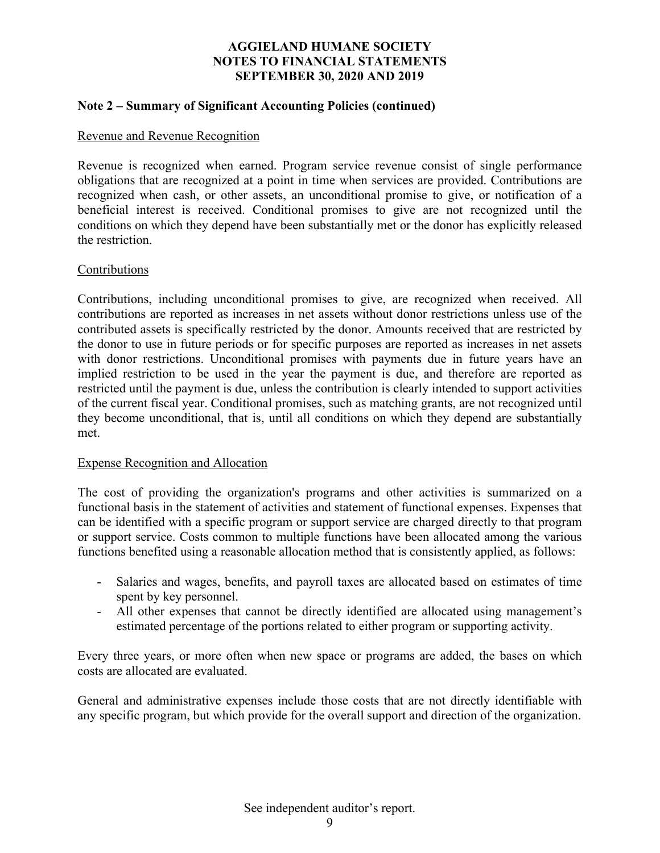## **Note 2 – Summary of Significant Accounting Policies (continued)**

#### Revenue and Revenue Recognition

Revenue is recognized when earned. Program service revenue consist of single performance obligations that are recognized at a point in time when services are provided. Contributions are recognized when cash, or other assets, an unconditional promise to give, or notification of a beneficial interest is received. Conditional promises to give are not recognized until the conditions on which they depend have been substantially met or the donor has explicitly released the restriction.

#### Contributions

Contributions, including unconditional promises to give, are recognized when received. All contributions are reported as increases in net assets without donor restrictions unless use of the contributed assets is specifically restricted by the donor. Amounts received that are restricted by the donor to use in future periods or for specific purposes are reported as increases in net assets with donor restrictions. Unconditional promises with payments due in future years have an implied restriction to be used in the year the payment is due, and therefore are reported as restricted until the payment is due, unless the contribution is clearly intended to support activities of the current fiscal year. Conditional promises, such as matching grants, are not recognized until they become unconditional, that is, until all conditions on which they depend are substantially met.

#### Expense Recognition and Allocation

The cost of providing the organization's programs and other activities is summarized on a functional basis in the statement of activities and statement of functional expenses. Expenses that can be identified with a specific program or support service are charged directly to that program or support service. Costs common to multiple functions have been allocated among the various functions benefited using a reasonable allocation method that is consistently applied, as follows:

- Salaries and wages, benefits, and payroll taxes are allocated based on estimates of time spent by key personnel.
- All other expenses that cannot be directly identified are allocated using management's estimated percentage of the portions related to either program or supporting activity.

Every three years, or more often when new space or programs are added, the bases on which costs are allocated are evaluated.

General and administrative expenses include those costs that are not directly identifiable with any specific program, but which provide for the overall support and direction of the organization.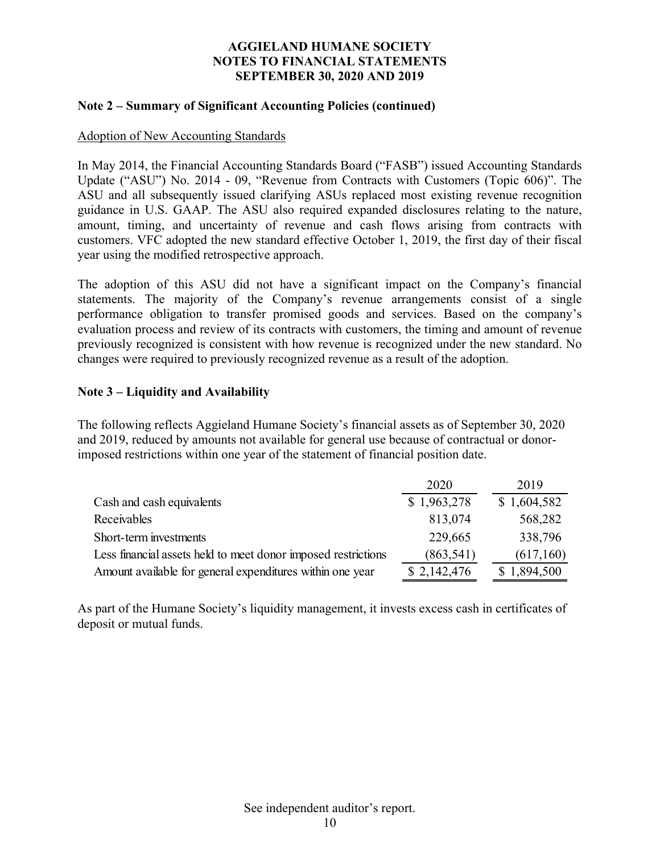### **Note 2 – Summary of Significant Accounting Policies (continued)**

#### Adoption of New Accounting Standards

In May 2014, the Financial Accounting Standards Board ("FASB") issued Accounting Standards Update ("ASU") No. 2014 - 09, "Revenue from Contracts with Customers (Topic 606)". The ASU and all subsequently issued clarifying ASUs replaced most existing revenue recognition guidance in U.S. GAAP. The ASU also required expanded disclosures relating to the nature, amount, timing, and uncertainty of revenue and cash flows arising from contracts with customers. VFC adopted the new standard effective October 1, 2019, the first day of their fiscal year using the modified retrospective approach.

The adoption of this ASU did not have a significant impact on the Company's financial statements. The majority of the Company's revenue arrangements consist of a single performance obligation to transfer promised goods and services. Based on the company's evaluation process and review of its contracts with customers, the timing and amount of revenue previously recognized is consistent with how revenue is recognized under the new standard. No changes were required to previously recognized revenue as a result of the adoption.

### **Note 3 – Liquidity and Availability**

The following reflects Aggieland Humane Society's financial assets as of September 30, 2020 and 2019, reduced by amounts not available for general use because of contractual or donorimposed restrictions within one year of the statement of financial position date.

|                                                               | 2020        | 2019        |
|---------------------------------------------------------------|-------------|-------------|
| Cash and cash equivalents                                     | \$1,963,278 | \$1,604,582 |
| Receivables                                                   | 813,074     | 568,282     |
| Short-term investments                                        | 229,665     | 338,796     |
| Less financial assets held to meet donor imposed restrictions | (863, 541)  | (617,160)   |
| Amount available for general expenditures within one year     | \$2,142,476 | \$1,894,500 |

As part of the Humane Society's liquidity management, it invests excess cash in certificates of deposit or mutual funds.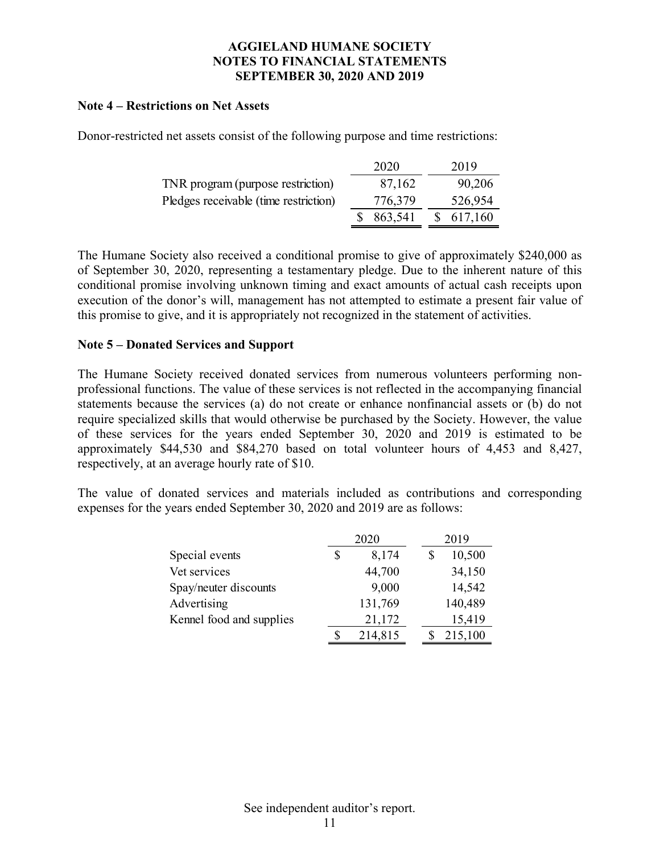## **Note 4 – Restrictions on Net Assets**

Donor-restricted net assets consist of the following purpose and time restrictions:

|                                       | 2020    | 2019      |
|---------------------------------------|---------|-----------|
| TNR program (purpose restriction)     | 87,162  | 90,206    |
| Pledges receivable (time restriction) | 776,379 | 526,954   |
|                                       | 863,541 | \$617,160 |

The Humane Society also received a conditional promise to give of approximately \$240,000 as of September 30, 2020, representing a testamentary pledge. Due to the inherent nature of this conditional promise involving unknown timing and exact amounts of actual cash receipts upon execution of the donor's will, management has not attempted to estimate a present fair value of this promise to give, and it is appropriately not recognized in the statement of activities.

### **Note 5 – Donated Services and Support**

The Humane Society received donated services from numerous volunteers performing nonprofessional functions. The value of these services is not reflected in the accompanying financial statements because the services (a) do not create or enhance nonfinancial assets or (b) do not require specialized skills that would otherwise be purchased by the Society. However, the value of these services for the years ended September 30, 2020 and 2019 is estimated to be approximately \$44,530 and \$84,270 based on total volunteer hours of 4,453 and 8,427, respectively, at an average hourly rate of \$10.

The value of donated services and materials included as contributions and corresponding expenses for the years ended September 30, 2020 and 2019 are as follows:

|                          | 2020    |  | 2019 |         |
|--------------------------|---------|--|------|---------|
| Special events           | 8,174   |  |      | 10,500  |
| Vet services             | 44,700  |  |      | 34,150  |
| Spay/neuter discounts    | 9,000   |  |      | 14,542  |
| Advertising              | 131,769 |  |      | 140,489 |
| Kennel food and supplies | 21,172  |  |      | 15,419  |
|                          | 214,815 |  |      | 215,100 |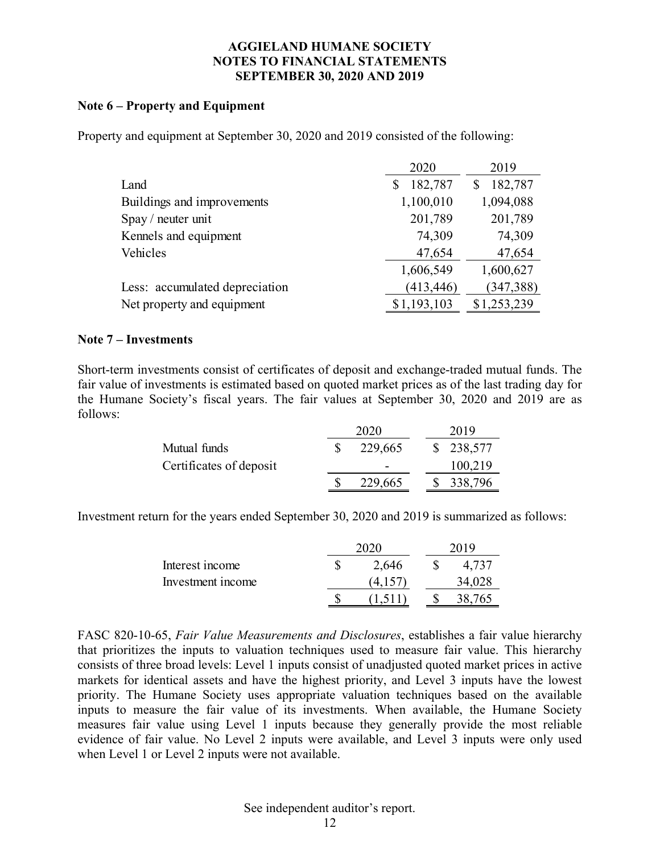#### **Note 6 – Property and Equipment**

Property and equipment at September 30, 2020 and 2019 consisted of the following:

|                                | 2020        | 2019         |
|--------------------------------|-------------|--------------|
| Land                           | 182,787     | 182,787<br>S |
| Buildings and improvements     | 1,100,010   | 1,094,088    |
| Spay / neuter unit             | 201,789     | 201,789      |
| Kennels and equipment          | 74,309      | 74,309       |
| Vehicles                       | 47,654      | 47,654       |
|                                | 1,606,549   | 1,600,627    |
| Less: accumulated depreciation | (413, 446)  | (347, 388)   |
| Net property and equipment     | \$1,193,103 | \$1,253,239  |

#### **Note 7 – Investments**

Short-term investments consist of certificates of deposit and exchange-traded mutual funds. The fair value of investments is estimated based on quoted market prices as of the last trading day for the Humane Society's fiscal years. The fair values at September 30, 2020 and 2019 are as follows:

|                         | 2020 |                          | 2019      |
|-------------------------|------|--------------------------|-----------|
| Mutual funds            |      | 229,665                  | \$238,577 |
| Certificates of deposit |      | $\overline{\phantom{a}}$ | 100,219   |
|                         |      | 229,665                  | 338,796   |

Investment return for the years ended September 30, 2020 and 2019 is summarized as follows:

|                   | 2026 |         | 01 Q   |
|-------------------|------|---------|--------|
| Interest income   |      | 2,646   | 4,737  |
| Investment income |      | (4,157) | 34,028 |
|                   |      |         |        |

FASC 820-10-65, *Fair Value Measurements and Disclosures*, establishes a fair value hierarchy that prioritizes the inputs to valuation techniques used to measure fair value. This hierarchy consists of three broad levels: Level 1 inputs consist of unadjusted quoted market prices in active markets for identical assets and have the highest priority, and Level 3 inputs have the lowest priority. The Humane Society uses appropriate valuation techniques based on the available inputs to measure the fair value of its investments. When available, the Humane Society measures fair value using Level 1 inputs because they generally provide the most reliable evidence of fair value. No Level 2 inputs were available, and Level 3 inputs were only used when Level 1 or Level 2 inputs were not available.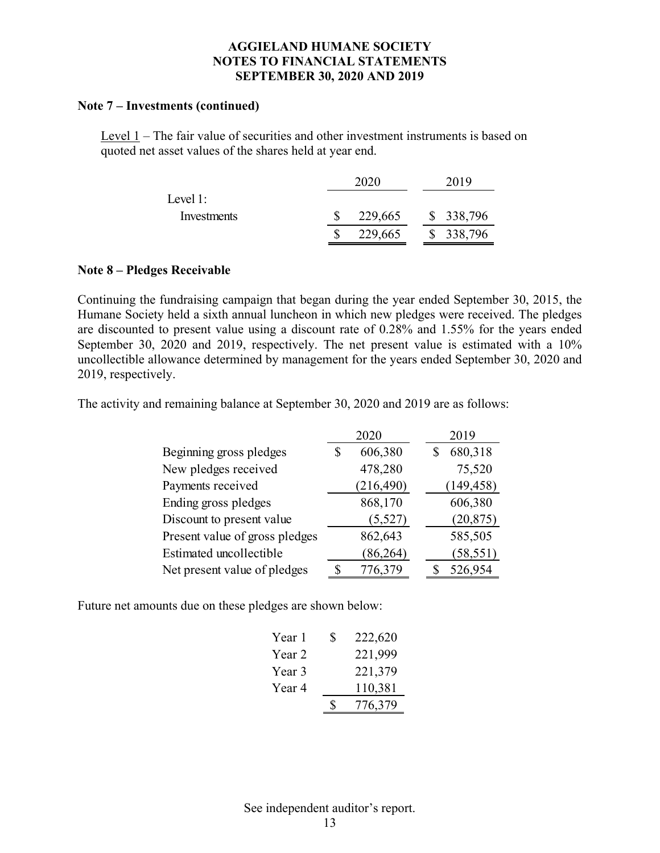#### **Note 7 – Investments (continued)**

Level  $1$  – The fair value of securities and other investment instruments is based on quoted net asset values of the shares held at year end.

|             | 2020    | 2019      |
|-------------|---------|-----------|
| Level $1$ : |         |           |
| Investments | 229,665 | \$338,796 |
|             | 229,665 | \$338,796 |

### **Note 8 – Pledges Receivable**

Continuing the fundraising campaign that began during the year ended September 30, 2015, the Humane Society held a sixth annual luncheon in which new pledges were received. The pledges are discounted to present value using a discount rate of 0.28% and 1.55% for the years ended September 30, 2020 and 2019, respectively. The net present value is estimated with a 10% uncollectible allowance determined by management for the years ended September 30, 2020 and 2019, respectively.

The activity and remaining balance at September 30, 2020 and 2019 are as follows:

|                                | 2020       | 2019       |
|--------------------------------|------------|------------|
| Beginning gross pledges        | 606,380    | 680,318    |
| New pledges received           | 478,280    | 75,520     |
| Payments received              | (216, 490) | (149, 458) |
| Ending gross pledges           | 868,170    | 606,380    |
| Discount to present value      | (5,527)    | (20, 875)  |
| Present value of gross pledges | 862,643    | 585,505    |
| Estimated uncollectible        | (86,264)   | (58, 551)  |
| Net present value of pledges   | 776,379    | 526,954    |

Future net amounts due on these pledges are shown below:

| Year 1 | \$<br>222,620 |
|--------|---------------|
| Year 2 | 221,999       |
| Year 3 | 221,379       |
| Year 4 | 110,381       |
|        | 776,379       |